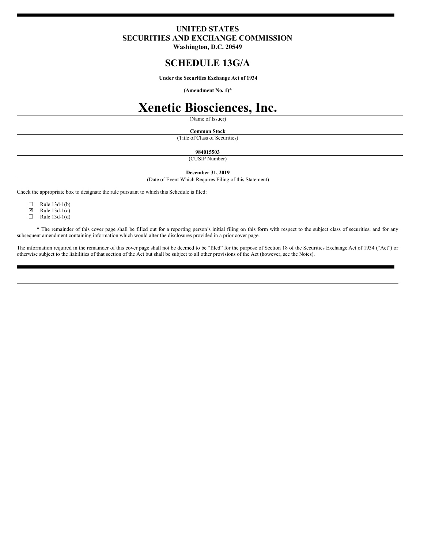## **UNITED STATES SECURITIES AND EXCHANGE COMMISSION**

**Washington, D.C. 20549**

## **SCHEDULE 13G/A**

**Under the Securities Exchange Act of 1934**

**(Amendment No. 1)\***

# **Xenetic Biosciences, Inc.**

(Name of Issuer)

#### **Common Stock**

(Title of Class of Securities)

**984015503**

(CUSIP Number)

**December 31, 2019**

(Date of Event Which Requires Filing of this Statement)

Check the appropriate box to designate the rule pursuant to which this Schedule is filed:

 $\Box$  Rule 13d-1(b)<br> $\boxtimes$  Rule 13d-1(c)

 $\boxtimes$  Rule 13d-1(c)<br>
Rule 13d-1(d)

Rule 13d-1(d)

\* The remainder of this cover page shall be filled out for a reporting person's initial filing on this form with respect to the subject class of securities, and for any subsequent amendment containing information which would alter the disclosures provided in a prior cover page.

The information required in the remainder of this cover page shall not be deemed to be "filed" for the purpose of Section 18 of the Securities Exchange Act of 1934 ("Act") or otherwise subject to the liabilities of that section of the Act but shall be subject to all other provisions of the Act (however, see the Notes).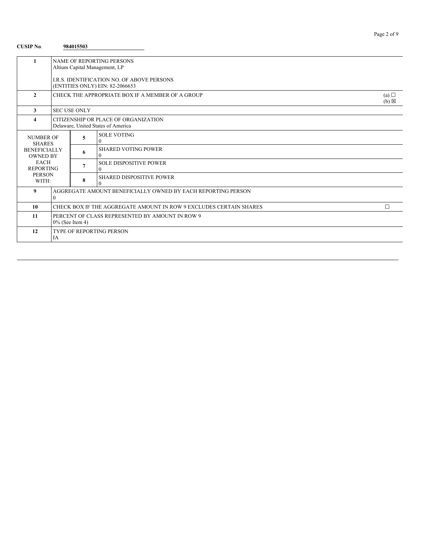| <b>CUSIP No.</b>                       |                                                                              | 984015503                                                                            |                                             |   |  |  |  |
|----------------------------------------|------------------------------------------------------------------------------|--------------------------------------------------------------------------------------|---------------------------------------------|---|--|--|--|
| $\mathbf{1}$                           | NAME OF REPORTING PERSONS<br>Altium Capital Management, LP                   |                                                                                      |                                             |   |  |  |  |
|                                        |                                                                              | <b>I.R.S. IDENTIFICATION NO. OF ABOVE PERSONS</b><br>(ENTITIES ONLY) EIN: 82-2066653 |                                             |   |  |  |  |
| $\mathbf{2}$                           | CHECK THE APPROPRIATE BOX IF A MEMBER OF A GROUP<br>(a)<br>$(b) \boxtimes$   |                                                                                      |                                             |   |  |  |  |
| 3                                      |                                                                              | <b>SEC USE ONLY</b>                                                                  |                                             |   |  |  |  |
| $\boldsymbol{4}$                       | CITIZENSHIP OR PLACE OF ORGANIZATION<br>Delaware, United States of America   |                                                                                      |                                             |   |  |  |  |
| <b>NUMBER OF</b><br><b>SHARES</b>      |                                                                              | 5                                                                                    | <b>SOLE VOTING</b><br>$\Omega$              |   |  |  |  |
| <b>BENEFICIALLY</b><br><b>OWNED BY</b> |                                                                              | 6                                                                                    | <b>SHARED VOTING POWER</b><br>$\Omega$      |   |  |  |  |
| <b>EACH</b><br><b>REPORTING</b>        |                                                                              | 7                                                                                    | <b>SOLE DISPOSITIVE POWER</b><br>$\Omega$   |   |  |  |  |
| <b>PERSON</b><br>WITH:                 |                                                                              | 8                                                                                    | <b>SHARED DISPOSITIVE POWER</b><br>$\Omega$ |   |  |  |  |
| 9                                      | AGGREGATE AMOUNT BENEFICIALLY OWNED BY EACH REPORTING PERSON<br>$\mathbf{0}$ |                                                                                      |                                             |   |  |  |  |
| 10                                     | CHECK BOX IF THE AGGREGATE AMOUNT IN ROW 9 EXCLUDES CERTAIN SHARES           |                                                                                      |                                             | П |  |  |  |
| 11                                     | PERCENT OF CLASS REPRESENTED BY AMOUNT IN ROW 9<br>$0\%$ (See Item 4)        |                                                                                      |                                             |   |  |  |  |
| 12                                     | TYPE OF REPORTING PERSON<br>IA                                               |                                                                                      |                                             |   |  |  |  |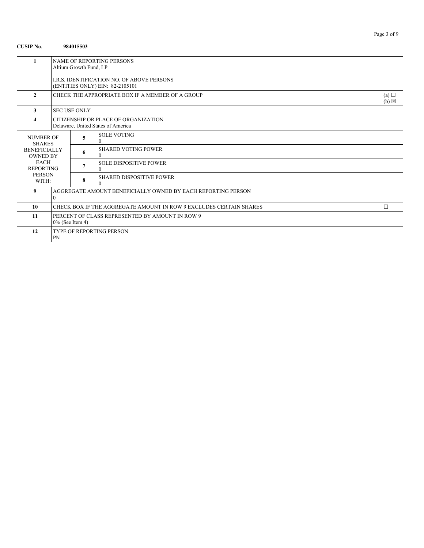## **CUSIP No**. **984015503**

| 1                                      | <b>NAME OF REPORTING PERSONS</b><br>Altium Growth Fund, LP                           |                                                                            |                                                  |                        |  |  |
|----------------------------------------|--------------------------------------------------------------------------------------|----------------------------------------------------------------------------|--------------------------------------------------|------------------------|--|--|
|                                        | <b>I.R.S. IDENTIFICATION NO. OF ABOVE PERSONS</b><br>(ENTITIES ONLY) EIN: 82-2105101 |                                                                            |                                                  |                        |  |  |
| $\overline{2}$                         |                                                                                      |                                                                            | CHECK THE APPROPRIATE BOX IF A MEMBER OF A GROUP | (a)<br>$(b) \boxtimes$ |  |  |
| 3                                      |                                                                                      | <b>SEC USE ONLY</b>                                                        |                                                  |                        |  |  |
| 4                                      |                                                                                      | CITIZENSHIP OR PLACE OF ORGANIZATION<br>Delaware, United States of America |                                                  |                        |  |  |
| <b>NUMBER OF</b><br><b>SHARES</b>      |                                                                                      | 5                                                                          | <b>SOLE VOTING</b><br>$\theta$                   |                        |  |  |
| <b>BENEFICIALLY</b><br><b>OWNED BY</b> |                                                                                      | 6                                                                          | <b>SHARED VOTING POWER</b><br>$\Omega$           |                        |  |  |
| <b>EACH</b><br><b>REPORTING</b>        |                                                                                      | 7                                                                          | <b>SOLE DISPOSITIVE POWER</b><br>$\Omega$        |                        |  |  |
| <b>PERSON</b><br>WITH:                 |                                                                                      | 8                                                                          | <b>SHARED DISPOSITIVE POWER</b><br>$\Omega$      |                        |  |  |
| 9                                      | AGGREGATE AMOUNT BENEFICIALLY OWNED BY EACH REPORTING PERSON<br>$\Omega$             |                                                                            |                                                  |                        |  |  |
| 10                                     | $\Box$<br>CHECK BOX IF THE AGGREGATE AMOUNT IN ROW 9 EXCLUDES CERTAIN SHARES         |                                                                            |                                                  |                        |  |  |
| 11                                     | PERCENT OF CLASS REPRESENTED BY AMOUNT IN ROW 9<br>$0\%$ (See Item 4)                |                                                                            |                                                  |                        |  |  |
| 12                                     | TYPE OF REPORTING PERSON<br><b>PN</b>                                                |                                                                            |                                                  |                        |  |  |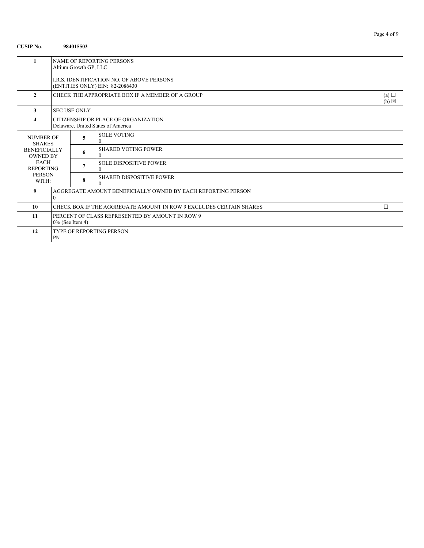## **CUSIP No**. **984015503**

|                                        | <b>NAME OF REPORTING PERSONS</b>                                           |                       |                                             |  |  |  |
|----------------------------------------|----------------------------------------------------------------------------|-----------------------|---------------------------------------------|--|--|--|
|                                        |                                                                            | Altium Growth GP, LLC |                                             |  |  |  |
|                                        | LR.S. IDENTIFICATION NO. OF ABOVE PERSONS                                  |                       |                                             |  |  |  |
|                                        |                                                                            |                       | (ENTITIES ONLY) EIN: 82-2086430             |  |  |  |
| $\mathbf{2}$                           | CHECK THE APPROPRIATE BOX IF A MEMBER OF A GROUP<br>(a)<br>$(b) \boxtimes$ |                       |                                             |  |  |  |
| 3                                      |                                                                            | <b>SEC USE ONLY</b>   |                                             |  |  |  |
| 4                                      |                                                                            |                       | CITIZENSHIP OR PLACE OF ORGANIZATION        |  |  |  |
|                                        |                                                                            |                       | Delaware, United States of America          |  |  |  |
| NUMBER OF<br><b>SHARES</b>             |                                                                            | 5                     | <b>SOLE VOTING</b><br>$\Omega$              |  |  |  |
| <b>BENEFICIALLY</b><br><b>OWNED BY</b> |                                                                            | 6                     | <b>SHARED VOTING POWER</b><br>$\Omega$      |  |  |  |
| <b>EACH</b><br><b>REPORTING</b>        |                                                                            | 7                     | <b>SOLE DISPOSITIVE POWER</b><br>0          |  |  |  |
| <b>PERSON</b><br>WITH:                 |                                                                            | 8                     | <b>SHARED DISPOSITIVE POWER</b><br>$\Omega$ |  |  |  |
| 9                                      | AGGREGATE AMOUNT BENEFICIALLY OWNED BY EACH REPORTING PERSON<br>$\Omega$   |                       |                                             |  |  |  |
| 10                                     | Π<br>CHECK BOX IF THE AGGREGATE AMOUNT IN ROW 9 EXCLUDES CERTAIN SHARES    |                       |                                             |  |  |  |
| 11                                     | PERCENT OF CLASS REPRESENTED BY AMOUNT IN ROW 9<br>$0\%$ (See Item 4)      |                       |                                             |  |  |  |
| 12                                     | <b>TYPE OF REPORTING PERSON</b><br>PN                                      |                       |                                             |  |  |  |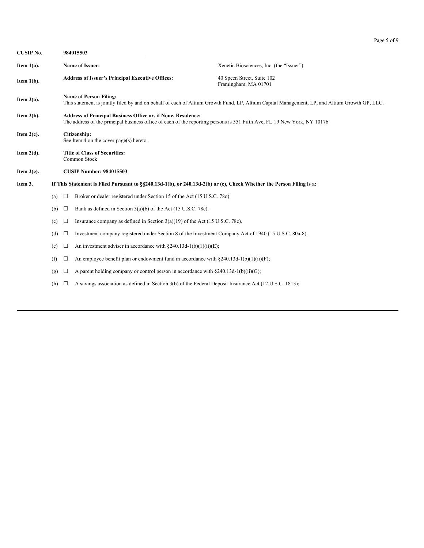| Page 5 |  | Ω<br>Ωt |  |
|--------|--|---------|--|
|--------|--|---------|--|

| <b>CUSIP No.</b> |                                                         |                                                                                                                                                                                          | 984015503                                                                                              |                                                                                                                                               |  |  |  |
|------------------|---------------------------------------------------------|------------------------------------------------------------------------------------------------------------------------------------------------------------------------------------------|--------------------------------------------------------------------------------------------------------|-----------------------------------------------------------------------------------------------------------------------------------------------|--|--|--|
| Item $1(a)$ .    |                                                         |                                                                                                                                                                                          | Name of Issuer:                                                                                        | Xenetic Biosciences, Inc. (the "Issuer")                                                                                                      |  |  |  |
| Item $1(b)$ .    | <b>Address of Issuer's Principal Executive Offices:</b> |                                                                                                                                                                                          |                                                                                                        | 40 Speen Street, Suite 102<br>Framingham, MA 01701                                                                                            |  |  |  |
| Item $2(a)$ .    |                                                         |                                                                                                                                                                                          | <b>Name of Person Filing:</b>                                                                          | This statement is jointly filed by and on behalf of each of Altium Growth Fund, LP, Altium Capital Management, LP, and Altium Growth GP, LLC. |  |  |  |
| Item $2(b)$ .    |                                                         | Address of Principal Business Office or, if None, Residence:<br>The address of the principal business office of each of the reporting persons is 551 Fifth Ave, FL 19 New York, NY 10176 |                                                                                                        |                                                                                                                                               |  |  |  |
| Item $2(c)$ .    | Citizenship:<br>See Item 4 on the cover page(s) hereto. |                                                                                                                                                                                          |                                                                                                        |                                                                                                                                               |  |  |  |
| Item $2(d)$ .    | <b>Title of Class of Securities:</b><br>Common Stock    |                                                                                                                                                                                          |                                                                                                        |                                                                                                                                               |  |  |  |
| Item $2(e)$ .    |                                                         | <b>CUSIP Number: 984015503</b>                                                                                                                                                           |                                                                                                        |                                                                                                                                               |  |  |  |
| Item 3.          |                                                         | If This Statement is Filed Pursuant to §§240.13d-1(b), or 240.13d-2(b) or (c), Check Whether the Person Filing is a:                                                                     |                                                                                                        |                                                                                                                                               |  |  |  |
|                  | (a)                                                     | $\Box$                                                                                                                                                                                   | Broker or dealer registered under Section 15 of the Act (15 U.S.C. 780).                               |                                                                                                                                               |  |  |  |
|                  | (b)                                                     | $\Box$                                                                                                                                                                                   | Bank as defined in Section $3(a)(6)$ of the Act (15 U.S.C. 78c).                                       |                                                                                                                                               |  |  |  |
|                  | (c)                                                     | $\Box$                                                                                                                                                                                   | Insurance company as defined in Section $3(a)(19)$ of the Act (15 U.S.C. 78c).                         |                                                                                                                                               |  |  |  |
|                  | (d)                                                     | $\Box$                                                                                                                                                                                   | Investment company registered under Section 8 of the Investment Company Act of 1940 (15 U.S.C. 80a-8). |                                                                                                                                               |  |  |  |
|                  | (e)                                                     | $\Box$                                                                                                                                                                                   | An investment adviser in accordance with $\S 240.13d-1(b)(1)(ii)(E)$ ;                                 |                                                                                                                                               |  |  |  |
|                  | (f)                                                     | □                                                                                                                                                                                        | An employee benefit plan or endowment fund in accordance with $8240.13d-1(b)(1)(ii)(F)$ ;              |                                                                                                                                               |  |  |  |
|                  | (g)                                                     | ⊔                                                                                                                                                                                        | A parent holding company or control person in accordance with $\S 240.13d-1(b)(ii)(G)$ ;               |                                                                                                                                               |  |  |  |

(h)  $\Box$  A savings association as defined in Section 3(b) of the Federal Deposit Insurance Act (12 U.S.C. 1813);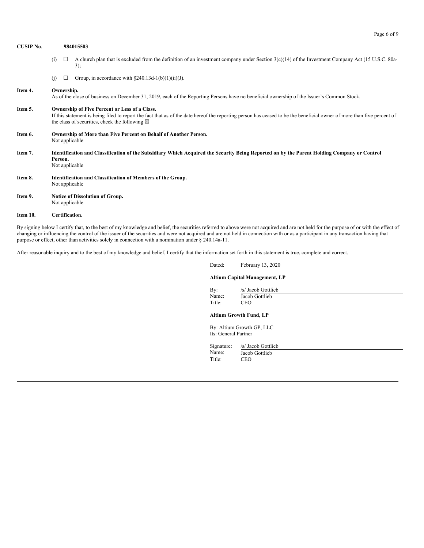| <b>CUSIP No.</b> | 984015503                                                                                                                                                                                                                                                                           |                |                                                                                                                                                              |
|------------------|-------------------------------------------------------------------------------------------------------------------------------------------------------------------------------------------------------------------------------------------------------------------------------------|----------------|--------------------------------------------------------------------------------------------------------------------------------------------------------------|
|                  | (i)                                                                                                                                                                                                                                                                                 | $\Box$         | A church plan that is excluded from the definition of an investment company under Section $3(c)(14)$ of the Investment Company Act (15 U.S.C. 80a-<br>3);    |
|                  | (i)                                                                                                                                                                                                                                                                                 | ⊔              | Group, in accordance with $\S 240.13d-1(b)(1)(ii)(J)$ .                                                                                                      |
| Item 4.          |                                                                                                                                                                                                                                                                                     | Ownership.     | As of the close of business on December 31, 2019, each of the Reporting Persons have no beneficial ownership of the Issuer's Common Stock.                   |
| Item 5.          | Ownership of Five Percent or Less of a Class.<br>If this statement is being filed to report the fact that as of the date hereof the reporting person has ceased to be the beneficial owner of more than five percent of<br>the class of securities, check the following $\boxtimes$ |                |                                                                                                                                                              |
| Item 6.          |                                                                                                                                                                                                                                                                                     |                | Ownership of More than Five Percent on Behalf of Another Person.<br>Not applicable                                                                           |
| Item 7.          |                                                                                                                                                                                                                                                                                     | Person.        | Identification and Classification of the Subsidiary Which Acquired the Security Being Reported on by the Parent Holding Company or Control<br>Not applicable |
| Item 8.          |                                                                                                                                                                                                                                                                                     |                | <b>Identification and Classification of Members of the Group.</b><br>Not applicable                                                                          |
| Item 9.          |                                                                                                                                                                                                                                                                                     |                | Notice of Dissolution of Group.<br>Not applicable                                                                                                            |
| Item 10.         |                                                                                                                                                                                                                                                                                     | Certification. |                                                                                                                                                              |

By signing below I certify that, to the best of my knowledge and belief, the securities referred to above were not acquired and are not held for the purpose of or with the effect of changing or influencing the control of the issuer of the securities and were not acquired and are not held in connection with or as a participant in any transaction having that purpose or effect, other than activities solely in connection with a nomination under § 240.14a-11.

After reasonable inquiry and to the best of my knowledge and belief, I certify that the information set forth in this statement is true, complete and correct.

# Dated: February 13, 2020

## **Altium Capital Management, LP**

By: /s/ Jacob Gottlieb<br>Name: Jacob Gottlieb Jacob Gottlieb Title: CEO

Page 6 of 9

## **Altium Growth Fund, LP**

By: Altium Growth GP, LLC Its: General Partner

Signature: /s/ Jacob Gottlieb Name: Jacob Gottlieb

Title: CEO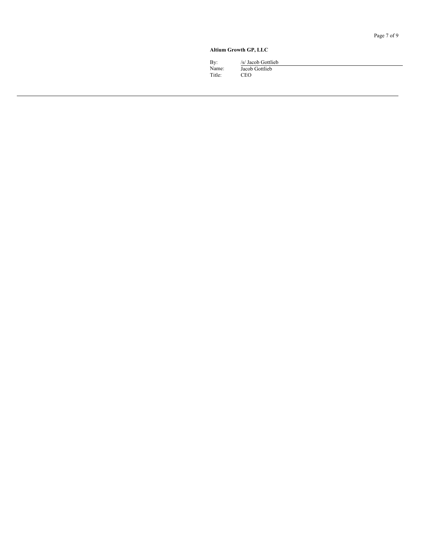#### Altium Growth GP, LLC

By:  $/$ s/ Jacob Gottlieb Name: Ja acob Gottlieb **Title** e: C E O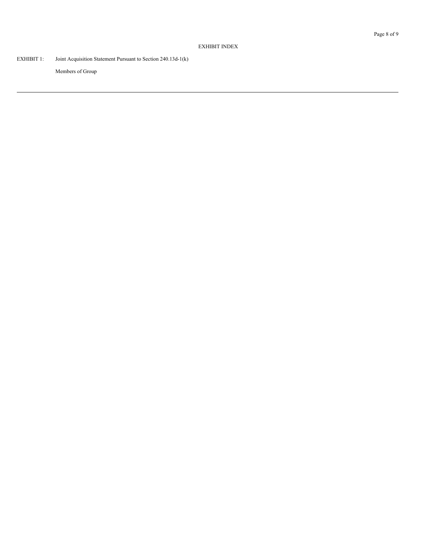## EXHIBIT INDEX

EXHIBIT 1: Joint Acquisition Statement Pursuant to Section 240.13d-1(k)

Members of Group